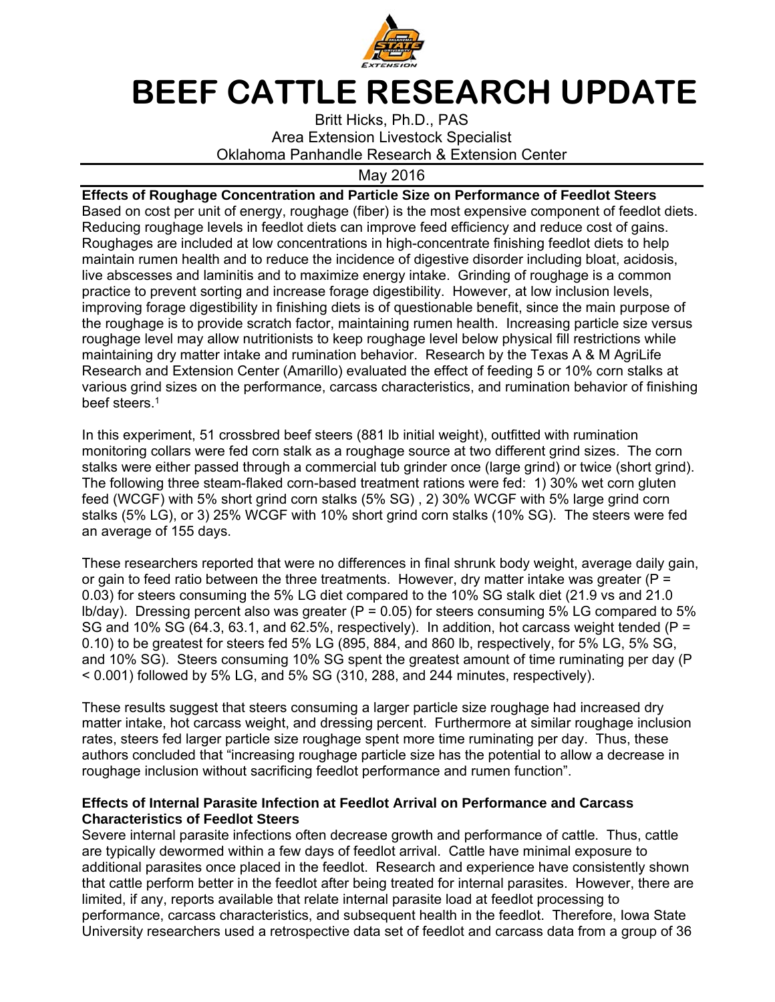

## **BEEF CATTLE RESEARCH UPDATE**

Britt Hicks, Ph.D., PAS Area Extension Livestock Specialist Oklahoma Panhandle Research & Extension Center

May 2016

**Effects of Roughage Concentration and Particle Size on Performance of Feedlot Steers**  Based on cost per unit of energy, roughage (fiber) is the most expensive component of feedlot diets. Reducing roughage levels in feedlot diets can improve feed efficiency and reduce cost of gains. Roughages are included at low concentrations in high-concentrate finishing feedlot diets to help maintain rumen health and to reduce the incidence of digestive disorder including bloat, acidosis, live abscesses and laminitis and to maximize energy intake. Grinding of roughage is a common practice to prevent sorting and increase forage digestibility. However, at low inclusion levels, improving forage digestibility in finishing diets is of questionable benefit, since the main purpose of the roughage is to provide scratch factor, maintaining rumen health. Increasing particle size versus roughage level may allow nutritionists to keep roughage level below physical fill restrictions while maintaining dry matter intake and rumination behavior. Research by the Texas A & M AgriLife Research and Extension Center (Amarillo) evaluated the effect of feeding 5 or 10% corn stalks at various grind sizes on the performance, carcass characteristics, and rumination behavior of finishing beef steers.<sup>1</sup>

In this experiment, 51 crossbred beef steers (881 lb initial weight), outfitted with rumination monitoring collars were fed corn stalk as a roughage source at two different grind sizes. The corn stalks were either passed through a commercial tub grinder once (large grind) or twice (short grind). The following three steam-flaked corn-based treatment rations were fed: 1) 30% wet corn gluten feed (WCGF) with 5% short grind corn stalks (5% SG) , 2) 30% WCGF with 5% large grind corn stalks (5% LG), or 3) 25% WCGF with 10% short grind corn stalks (10% SG). The steers were fed an average of 155 days.

These researchers reported that were no differences in final shrunk body weight, average daily gain, or gain to feed ratio between the three treatments. However, dry matter intake was greater ( $P =$ 0.03) for steers consuming the 5% LG diet compared to the 10% SG stalk diet (21.9 vs and 21.0  $16/day$ ). Dressing percent also was greater (P = 0.05) for steers consuming 5% LG compared to 5% SG and 10% SG (64.3, 63.1, and 62.5%, respectively). In addition, hot carcass weight tended (P = 0.10) to be greatest for steers fed 5% LG (895, 884, and 860 lb, respectively, for 5% LG, 5% SG, and 10% SG). Steers consuming 10% SG spent the greatest amount of time ruminating per day (P < 0.001) followed by 5% LG, and 5% SG (310, 288, and 244 minutes, respectively).

These results suggest that steers consuming a larger particle size roughage had increased dry matter intake, hot carcass weight, and dressing percent. Furthermore at similar roughage inclusion rates, steers fed larger particle size roughage spent more time ruminating per day. Thus, these authors concluded that "increasing roughage particle size has the potential to allow a decrease in roughage inclusion without sacrificing feedlot performance and rumen function".

## **Effects of Internal Parasite Infection at Feedlot Arrival on Performance and Carcass Characteristics of Feedlot Steers**

Severe internal parasite infections often decrease growth and performance of cattle. Thus, cattle are typically dewormed within a few days of feedlot arrival. Cattle have minimal exposure to additional parasites once placed in the feedlot. Research and experience have consistently shown that cattle perform better in the feedlot after being treated for internal parasites. However, there are limited, if any, reports available that relate internal parasite load at feedlot processing to performance, carcass characteristics, and subsequent health in the feedlot. Therefore, Iowa State University researchers used a retrospective data set of feedlot and carcass data from a group of 36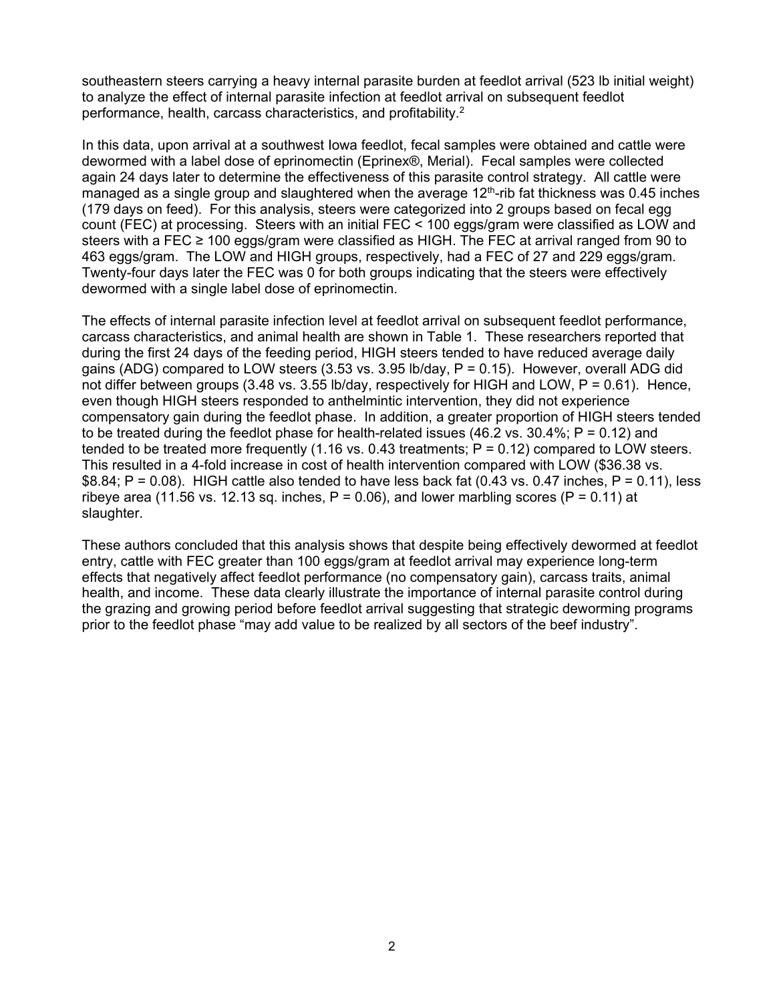southeastern steers carrying a heavy internal parasite burden at feedlot arrival (523 lb initial weight) to analyze the effect of internal parasite infection at feedlot arrival on subsequent feedlot performance, health, carcass characteristics, and profitability.2

In this data, upon arrival at a southwest Iowa feedlot, fecal samples were obtained and cattle were dewormed with a label dose of eprinomectin (Eprinex®, Merial). Fecal samples were collected again 24 days later to determine the effectiveness of this parasite control strategy. All cattle were managed as a single group and slaughtered when the average  $12<sup>th</sup>$ -rib fat thickness was 0.45 inches (179 days on feed). For this analysis, steers were categorized into 2 groups based on fecal egg count (FEC) at processing. Steers with an initial FEC < 100 eggs/gram were classified as LOW and steers with a FEC ≥ 100 eggs/gram were classified as HIGH. The FEC at arrival ranged from 90 to 463 eggs/gram. The LOW and HIGH groups, respectively, had a FEC of 27 and 229 eggs/gram. Twenty-four days later the FEC was 0 for both groups indicating that the steers were effectively dewormed with a single label dose of eprinomectin.

The effects of internal parasite infection level at feedlot arrival on subsequent feedlot performance, carcass characteristics, and animal health are shown in Table 1. These researchers reported that during the first 24 days of the feeding period, HIGH steers tended to have reduced average daily gains (ADG) compared to LOW steers  $(3.53 \text{ vs. } 3.95 \text{ lb/day}, P = 0.15)$ . However, overall ADG did not differ between groups (3.48 vs. 3.55 lb/day, respectively for HIGH and LOW, P = 0.61). Hence, even though HIGH steers responded to anthelmintic intervention, they did not experience compensatory gain during the feedlot phase. In addition, a greater proportion of HIGH steers tended to be treated during the feedlot phase for health-related issues  $(46.2 \text{ vs. } 30.4\%; P = 0.12)$  and tended to be treated more frequently  $(1.16 \text{ vs. } 0.43 \text{ treatments})$ ;  $P = 0.12$ ) compared to LOW steers. This resulted in a 4-fold increase in cost of health intervention compared with LOW (\$36.38 vs.  $$8.84; P = 0.08$ ). HIGH cattle also tended to have less back fat (0.43 vs. 0.47 inches, P = 0.11), less ribeye area (11.56 vs. 12.13 sq. inches,  $P = 0.06$ ), and lower marbling scores ( $P = 0.11$ ) at slaughter.

These authors concluded that this analysis shows that despite being effectively dewormed at feedlot entry, cattle with FEC greater than 100 eggs/gram at feedlot arrival may experience long-term effects that negatively affect feedlot performance (no compensatory gain), carcass traits, animal health, and income. These data clearly illustrate the importance of internal parasite control during the grazing and growing period before feedlot arrival suggesting that strategic deworming programs prior to the feedlot phase "may add value to be realized by all sectors of the beef industry".